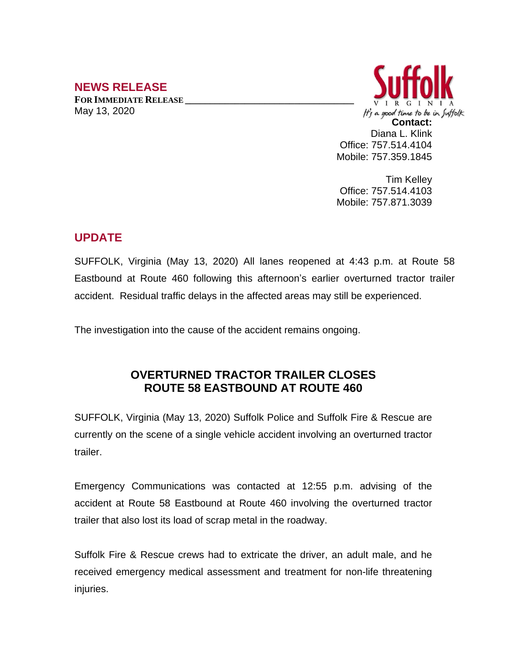## **NEWS RELEASE**

**FOR IMMEDIATE RELEASE \_\_\_\_\_\_\_\_\_\_\_\_\_\_\_\_\_\_\_\_\_\_\_\_\_\_\_\_\_\_\_\_\_\_** May 13, 2020



Tim Kelley Office: 757.514.4103 Mobile: 757.871.3039

## **UPDATE**

SUFFOLK, Virginia (May 13, 2020) All lanes reopened at 4:43 p.m. at Route 58 Eastbound at Route 460 following this afternoon's earlier overturned tractor trailer accident. Residual traffic delays in the affected areas may still be experienced.

The investigation into the cause of the accident remains ongoing.

## **OVERTURNED TRACTOR TRAILER CLOSES ROUTE 58 EASTBOUND AT ROUTE 460**

SUFFOLK, Virginia (May 13, 2020) Suffolk Police and Suffolk Fire & Rescue are currently on the scene of a single vehicle accident involving an overturned tractor trailer.

Emergency Communications was contacted at 12:55 p.m. advising of the accident at Route 58 Eastbound at Route 460 involving the overturned tractor trailer that also lost its load of scrap metal in the roadway.

Suffolk Fire & Rescue crews had to extricate the driver, an adult male, and he received emergency medical assessment and treatment for non-life threatening injuries.